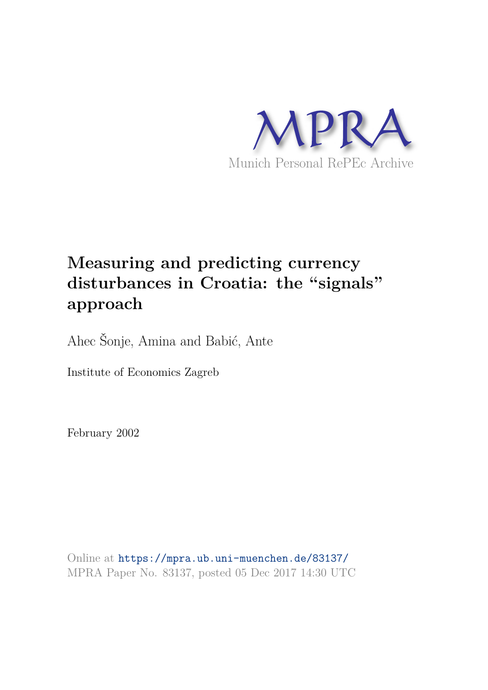

# **Measuring and predicting currency disturbances in Croatia: the "signals" approach**

Ahec Šonje, Amina and Babić, Ante

Institute of Economics Zagreb

February 2002

Online at https://mpra.ub.uni-muenchen.de/83137/ MPRA Paper No. 83137, posted 05 Dec 2017 14:30 UTC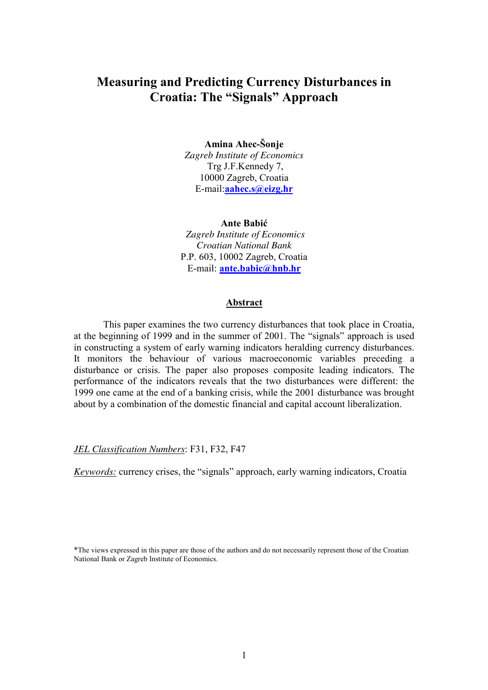# **Measuring and Predicting Currency Disturbances in Croatia: The "Signals" Approach**

#### **Amina Ahec-äonje**

*Zagreb Institute of Economics* Trg J.F.Kennedy 7, 10000 Zagreb, Croatia E-mail:**aahec.s@eizg.hr**

#### **Ante Babić**

*Zagreb Institute of Economics Croatian National Bank* P.P. 603, 10002 Zagreb, Croatia E-mail: **ante.babic@hnb.hr**

#### **Abstract**

This paper examines the two currency disturbances that took place in Croatia, at the beginning of 1999 and in the summer of 2001. The "signals" approach is used in constructing a system of early warning indicators heralding currency disturbances. It monitors the behaviour of various macroeconomic variables preceding a disturbance or crisis. The paper also proposes composite leading indicators. The performance of the indicators reveals that the two disturbances were different: the 1999 one came at the end of a banking crisis, while the 2001 disturbance was brought about by a combination of the domestic financial and capital account liberalization.

*JEL Classification Numbers*: F31, F32, F47

*Keywords:* currency crises, the "signals" approach, early warning indicators, Croatia

\*The views expressed in this paper are those of the authors and do not necessarily represent those of the Croatian National Bank or Zagreb Institute of Economics.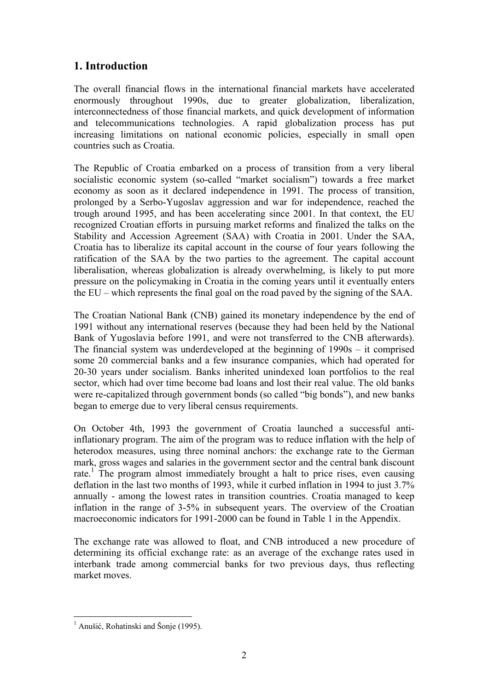# **1. Introduction**

The overall financial flows in the international financial markets have accelerated enormously throughout 1990s, due to greater globalization, liberalization, interconnectedness of those financial markets, and quick development of information and telecommunications technologies. A rapid globalization process has put increasing limitations on national economic policies, especially in small open countries such as Croatia.

The Republic of Croatia embarked on a process of transition from a very liberal socialistic economic system (so-called "market socialism") towards a free market economy as soon as it declared independence in 1991. The process of transition, prolonged by a Serbo-Yugoslav aggression and war for independence, reached the trough around 1995, and has been accelerating since 2001. In that context, the EU recognized Croatian efforts in pursuing market reforms and finalized the talks on the Stability and Accession Agreement (SAA) with Croatia in 2001. Under the SAA, Croatia has to liberalize its capital account in the course of four years following the ratification of the SAA by the two parties to the agreement. The capital account liberalisation, whereas globalization is already overwhelming, is likely to put more pressure on the policymaking in Croatia in the coming years until it eventually enters the  $EU$  – which represents the final goal on the road paved by the signing of the SAA.

The Croatian National Bank (CNB) gained its monetary independence by the end of 1991 without any international reserves (because they had been held by the National Bank of Yugoslavia before 1991, and were not transferred to the CNB afterwards). The financial system was underdeveloped at the beginning of  $1990s - it$  comprised some 20 commercial banks and a few insurance companies, which had operated for 20-30 years under socialism. Banks inherited unindexed loan portfolios to the real sector, which had over time become bad loans and lost their real value. The old banks were re-capitalized through government bonds (so called "big bonds"), and new banks began to emerge due to very liberal census requirements.

On October 4th, 1993 the government of Croatia launched a successful antiinflationary program. The aim of the program was to reduce inflation with the help of heterodox measures, using three nominal anchors: the exchange rate to the German mark, gross wages and salaries in the government sector and the central bank discount rate.<sup>1</sup> The program almost immediately brought a halt to price rises, even causing deflation in the last two months of 1993, while it curbed inflation in 1994 to just 3.7% annually - among the lowest rates in transition countries. Croatia managed to keep inflation in the range of 3-5% in subsequent years. The overview of the Croatian macroeconomic indicators for 1991-2000 can be found in Table 1 in the Appendix.

The exchange rate was allowed to float, and CNB introduced a new procedure of determining its official exchange rate: as an average of the exchange rates used in interbank trade among commercial banks for two previous days, thus reflecting market moves.

 $\overline{a}$ <sup>1</sup> Anušić, Rohatinski and Šonje (1995).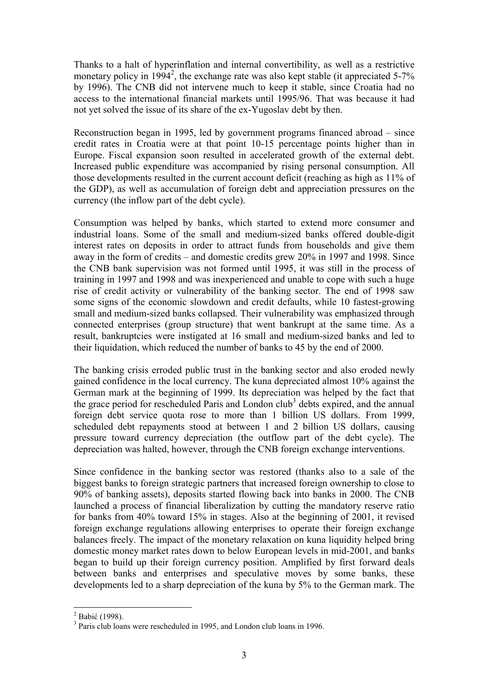Thanks to a halt of hyperinflation and internal convertibility, as well as a restrictive monetary policy in 1994<sup>2</sup>, the exchange rate was also kept stable (it appreciated 5-7% by 1996). The CNB did not intervene much to keep it stable, since Croatia had no access to the international financial markets until 1995/96. That was because it had not yet solved the issue of its share of the ex-Yugoslav debt by then.

Reconstruction began in 1995, led by government programs financed abroad  $-$  since credit rates in Croatia were at that point 10-15 percentage points higher than in Europe. Fiscal expansion soon resulted in accelerated growth of the external debt. Increased public expenditure was accompanied by rising personal consumption. All those developments resulted in the current account deficit (reaching as high as 11% of the GDP), as well as accumulation of foreign debt and appreciation pressures on the currency (the inflow part of the debt cycle).

Consumption was helped by banks, which started to extend more consumer and industrial loans. Some of the small and medium-sized banks offered double-digit interest rates on deposits in order to attract funds from households and give them away in the form of credits – and domestic credits grew  $20\%$  in 1997 and 1998. Since the CNB bank supervision was not formed until 1995, it was still in the process of training in 1997 and 1998 and was inexperienced and unable to cope with such a huge rise of credit activity or vulnerability of the banking sector. The end of 1998 saw some signs of the economic slowdown and credit defaults, while 10 fastest-growing small and medium-sized banks collapsed. Their vulnerability was emphasized through connected enterprises (group structure) that went bankrupt at the same time. As a result, bankruptcies were instigated at 16 small and medium-sized banks and led to their liquidation, which reduced the number of banks to 45 by the end of 2000.

The banking crisis erroded public trust in the banking sector and also eroded newly gained confidence in the local currency. The kuna depreciated almost 10% against the German mark at the beginning of 1999. Its depreciation was helped by the fact that the grace period for rescheduled Paris and London club<sup>3</sup> debts expired, and the annual foreign debt service quota rose to more than 1 billion US dollars. From 1999, scheduled debt repayments stood at between 1 and 2 billion US dollars, causing pressure toward currency depreciation (the outflow part of the debt cycle). The depreciation was halted, however, through the CNB foreign exchange interventions.

Since confidence in the banking sector was restored (thanks also to a sale of the biggest banks to foreign strategic partners that increased foreign ownership to close to 90% of banking assets), deposits started flowing back into banks in 2000. The CNB launched a process of financial liberalization by cutting the mandatory reserve ratio for banks from 40% toward 15% in stages. Also at the beginning of 2001, it revised foreign exchange regulations allowing enterprises to operate their foreign exchange balances freely. The impact of the monetary relaxation on kuna liquidity helped bring domestic money market rates down to below European levels in mid-2001, and banks began to build up their foreign currency position. Amplified by first forward deals between banks and enterprises and speculative moves by some banks, these developments led to a sharp depreciation of the kuna by 5% to the German mark. The

 2 Babić (1998).

<sup>&</sup>lt;sup>3</sup> Paris club loans were rescheduled in 1995, and London club loans in 1996.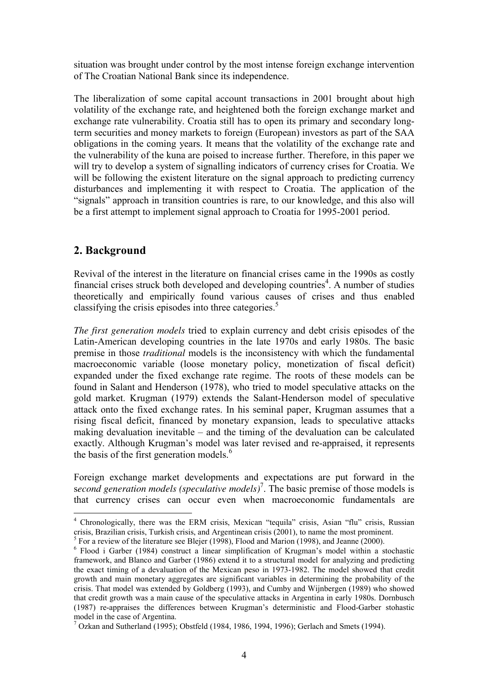situation was brought under control by the most intense foreign exchange intervention of The Croatian National Bank since its independence.

The liberalization of some capital account transactions in 2001 brought about high volatility of the exchange rate, and heightened both the foreign exchange market and exchange rate vulnerability. Croatia still has to open its primary and secondary longterm securities and money markets to foreign (European) investors as part of the SAA obligations in the coming years. It means that the volatility of the exchange rate and the vulnerability of the kuna are poised to increase further. Therefore, in this paper we will try to develop a system of signalling indicators of currency crises for Croatia. We will be following the existent literature on the signal approach to predicting currency disturbances and implementing it with respect to Croatia. The application of the ìsignalsî approach in transition countries is rare, to our knowledge, and this also will be a first attempt to implement signal approach to Croatia for 1995-2001 period.

# **2. Background**

 $\overline{a}$ 

Revival of the interest in the literature on financial crises came in the 1990s as costly financial crises struck both developed and developing countries<sup>4</sup>. A number of studies theoretically and empirically found various causes of crises and thus enabled classifying the crisis episodes into three categories.<sup>5</sup>

*The first generation models* tried to explain currency and debt crisis episodes of the Latin-American developing countries in the late 1970s and early 1980s. The basic premise in those *traditional* models is the inconsistency with which the fundamental macroeconomic variable (loose monetary policy, monetization of fiscal deficit) expanded under the fixed exchange rate regime. The roots of these models can be found in Salant and Henderson (1978), who tried to model speculative attacks on the gold market. Krugman (1979) extends the Salant-Henderson model of speculative attack onto the fixed exchange rates. In his seminal paper, Krugman assumes that a rising fiscal deficit, financed by monetary expansion, leads to speculative attacks making devaluation inevitable  $-$  and the timing of the devaluation can be calculated exactly. Although Krugman's model was later revised and re-appraised, it represents the basis of the first generation models. $<sup>6</sup>$ </sup>

Foreign exchange market developments and expectations are put forward in the second generation models (speculative models)<sup>7</sup>. The basic premise of those models is that currency crises can occur even when macroeconomic fundamentals are

<sup>&</sup>lt;sup>4</sup> Chronologically, there was the ERM crisis, Mexican "tequila" crisis, Asian "flu" crisis, Russian crisis, Brazilian crisis, Turkish crisis, and Argentinean crisis (2001), to name the most prominent.

 $<sup>5</sup>$  For a review of the literature see Blejer (1998), Flood and Marion (1998), and Jeanne (2000).</sup>

<sup>&</sup>lt;sup>6</sup> Flood i Garber (1984) construct a linear simplification of Krugman's model within a stochastic framework, and Blanco and Garber (1986) extend it to a structural model for analyzing and predicting the exact timing of a devaluation of the Mexican peso in 1973-1982. The model showed that credit growth and main monetary aggregates are significant variables in determining the probability of the crisis. That model was extended by Goldberg (1993), and Cumby and Wijnbergen (1989) who showed that credit growth was a main cause of the speculative attacks in Argentina in early 1980s. Dornbusch (1987) re-appraises the differences between Krugmanís deterministic and Flood-Garber stohastic model in the case of Argentina.

 $^7$  Ozkan and Sutherland (1995); Obstfeld (1984, 1986, 1994, 1996); Gerlach and Smets (1994).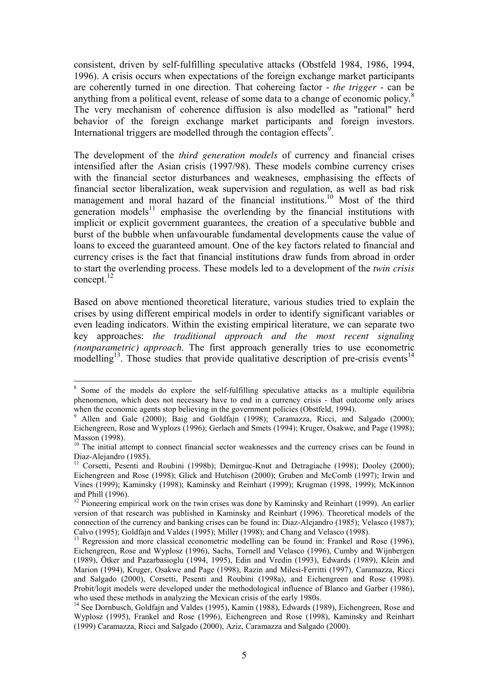consistent, driven by self-fulfilling speculative attacks (Obstfeld 1984, 1986, 1994, 1996). A crisis occurs when expectations of the foreign exchange market participants are coherently turned in one direction. That cohereing factor - *the trigger* - can be anything from a political event, release of some data to a change of economic policy.<sup>8</sup> The very mechanism of coherence diffusion is also modelled as "rational" herd behavior of the foreign exchange market participants and foreign investors. International triggers are modelled through the contagion effects<sup>9</sup>.

The development of the *third generation models* of currency and financial crises intensified after the Asian crisis (1997/98). These models combine currency crises with the financial sector disturbances and weakneses, emphasising the effects of financial sector liberalization, weak supervision and regulation, as well as bad risk management and moral hazard of the financial institutions.<sup>10</sup> Most of the third generation models<sup>11</sup> emphasise the overlending by the financial institutions with implicit or explicit government guarantees, the creation of a speculative bubble and burst of the bubble when unfavourable fundamental developments cause the value of loans to exceed the guaranteed amount. One of the key factors related to financial and currency crises is the fact that financial institutions draw funds from abroad in order to start the overlending process. These models led to a development of the *twin crisis* concept.<sup>12</sup>

Based on above mentioned theoretical literature, various studies tried to explain the crises by using different empirical models in order to identify significant variables or even leading indicators. Within the existing empirical literature, we can separate two key approaches: *the traditional approach and the most recent signaling (nonparametric) approach*. The first approach generally tries to use econometric modelling<sup>13</sup>. Those studies that provide qualitative description of pre-crisis events<sup>14</sup>

<sup>&</sup>lt;sup>8</sup> Some of the models do explore the self-fulfilling speculative attacks as a multiple equilibria phenomenon, which does not necessary have to end in a currency crisis - that outcome only arises when the economic agents stop believing in the government policies (Obstfeld, 1994).

<sup>9</sup> Allen and Gale (2000); Baig and Goldfajn (1998); Caramazza, Ricci, and Salgado (2000); Eichengreen, Rose and Wyplozs (1996); Gerlach and Smets (1994); Kruger, Osakwe, and Page (1998); Masson (1998).

<sup>&</sup>lt;sup>10</sup> The initial attempt to connect financial sector weaknesses and the currency crises can be found in Diaz-Alejandro (1985).

<sup>&</sup>lt;sup>11</sup> Corsetti, Pesenti and Roubini (1998b); Demirguc-Knut and Detragiache (1998); Dooley (2000); Eichengreen and Rose (1998); Glick and Hutchison (2000); Gruben and McComb (1997); Irwin and Vines (1999); Kaminsky (1998); Kaminsky and Reinhart (1999); Krugman (1998, 1999); McKinnon and Phill (1996).

 $12$  Pioneering empirical work on the twin crises was done by Kaminsky and Reinhart (1999). An earlier version of that research was published in Kaminsky and Reinhart (1996). Theoretical models of the connection of the currency and banking crises can be found in: Diaz-Alejandro (1985); Velasco (1987); Calvo (1995); Goldfajn and Valdes (1995); Miller (1998); and Chang and Velasco (1998).

<sup>&</sup>lt;sup>13</sup> Regression and more classical econometric modelling can be found in: Frankel and Rose (1996), Eichengreen, Rose and Wyplosz (1996), Sachs, Tornell and Velasco (1996), Cumby and Wijnbergen (1989), Ötker and Pazarbasioglu (1994, 1995), Edin and Vredin (1993), Edwards (1989), Klein and Marion (1994), Kruger, Osakwe and Page (1998), Razin and Milesi-Ferritti (1997), Caramazza, Ricci and Salgado (2000), Corsetti, Pesenti and Roubini (1998a), and Eichengreen and Rose (1998). Probit/logit models were developed under the methodological influence of Blanco and Garber (1986), who used these methods in analyzing the Mexican crisis of the early 1980s.

<sup>14</sup> See Dornbusch, Goldfajn and Valdes (1995), Kamin (1988), Edwards (1989), Eichengreen, Rose and Wyplosz (1995), Frankel and Rose (1996), Eichengreen and Rose (1998), Kaminsky and Reinhart (1999) Caramazza, Ricci and Salgado (2000), Aziz, Caramazza and Salgado (2000).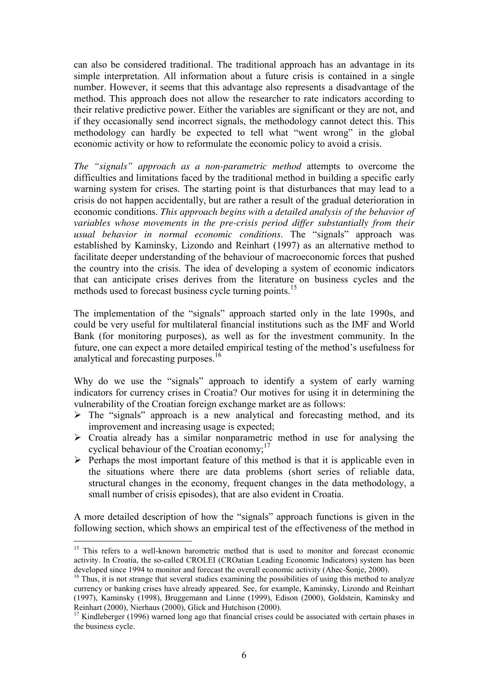can also be considered traditional. The traditional approach has an advantage in its simple interpretation. All information about a future crisis is contained in a single number. However, it seems that this advantage also represents a disadvantage of the method. This approach does not allow the researcher to rate indicators according to their relative predictive power. Either the variables are significant or they are not, and if they occasionally send incorrect signals, the methodology cannot detect this. This methodology can hardly be expected to tell what "went wrong" in the global economic activity or how to reformulate the economic policy to avoid a crisis.

*The "signals" approach as a non-parametric method* attempts to overcome the difficulties and limitations faced by the traditional method in building a specific early warning system for crises. The starting point is that disturbances that may lead to a crisis do not happen accidentally, but are rather a result of the gradual deterioration in economic conditions. *This approach begins with a detailed analysis of the behavior of variables whose movements in the pre-crisis period differ substantially from their usual behavior in normal economic conditions*. The "signals" approach was established by Kaminsky, Lizondo and Reinhart (1997) as an alternative method to facilitate deeper understanding of the behaviour of macroeconomic forces that pushed the country into the crisis. The idea of developing a system of economic indicators that can anticipate crises derives from the literature on business cycles and the methods used to forecast business cycle turning points.<sup>15</sup>

The implementation of the "signals" approach started only in the late 1990s, and could be very useful for multilateral financial institutions such as the IMF and World Bank (for monitoring purposes), as well as for the investment community. In the future, one can expect a more detailed empirical testing of the method's usefulness for analytical and forecasting purposes.<sup>16</sup>

Why do we use the "signals" approach to identify a system of early warning indicators for currency crises in Croatia? Our motives for using it in determining the vulnerability of the Croatian foreign exchange market are as follows:

- $\triangleright$  The "signals" approach is a new analytical and forecasting method, and its improvement and increasing usage is expected;
- $\triangleright$  Croatia already has a similar nonparametric method in use for analysing the cyclical behaviour of the Croatian economy; $^{17}$
- $\triangleright$  Perhaps the most important feature of this method is that it is applicable even in the situations where there are data problems (short series of reliable data, structural changes in the economy, frequent changes in the data methodology, a small number of crisis episodes), that are also evident in Croatia.

A more detailed description of how the "signals" approach functions is given in the following section, which shows an empirical test of the effectiveness of the method in

 $\overline{a}$ 

<sup>&</sup>lt;sup>15</sup> This refers to a well-known barometric method that is used to monitor and forecast economic activity. In Croatia, the so-called CROLEI (CROatian Leading Economic Indicators) system has been developed since 1994 to monitor and forecast the overall economic activity (Ahec-Šonje, 2000).

 $16$  Thus, it is not strange that several studies examining the possibilities of using this method to analyze currency or banking crises have already appeared. See, for example, Kaminsky, Lizondo and Reinhart (1997), Kaminsky (1998), Bruggemann and Linne (1999), Edison (2000), Goldstein, Kaminsky and Reinhart (2000), Nierhaus (2000), Glick and Hutchison (2000).

 $17$  Kindleberger (1996) warned long ago that financial crises could be associated with certain phases in the business cycle.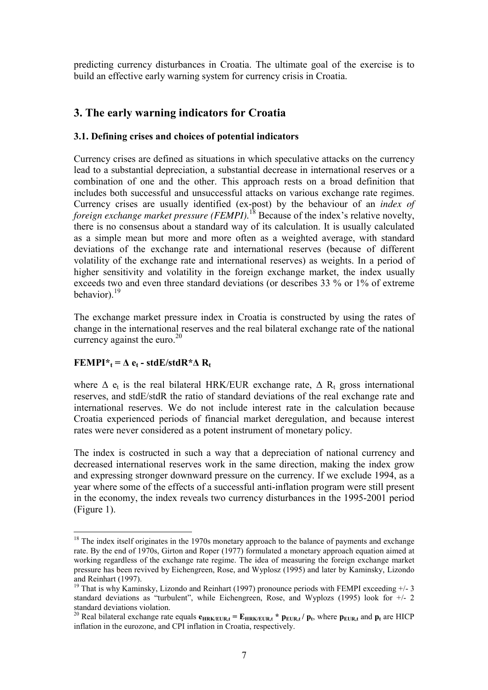predicting currency disturbances in Croatia. The ultimate goal of the exercise is to build an effective early warning system for currency crisis in Croatia.

# **3. The early warning indicators for Croatia**

## **3.1. Defining crises and choices of potential indicators**

Currency crises are defined as situations in which speculative attacks on the currency lead to a substantial depreciation, a substantial decrease in international reserves or a combination of one and the other. This approach rests on a broad definition that includes both successful and unsuccessful attacks on various exchange rate regimes. Currency crises are usually identified (ex-post) by the behaviour of an *index of foreign exchange market pressure (FEMPI)*.<sup>18</sup> Because of the index's relative novelty, there is no consensus about a standard way of its calculation. It is usually calculated as a simple mean but more and more often as a weighted average, with standard deviations of the exchange rate and international reserves (because of different volatility of the exchange rate and international reserves) as weights. In a period of higher sensitivity and volatility in the foreign exchange market, the index usually exceeds two and even three standard deviations (or describes 33 % or 1% of extreme behavior).<sup>19</sup>

The exchange market pressure index in Croatia is constructed by using the rates of change in the international reserves and the real bilateral exchange rate of the national currency against the euro. $^{20}$ 

# **FEMPI**<sup>\*</sup>**t**</sub> =  $\Delta$ **e**<sub>**t**</sub> - stdE/stdR<sup>\*</sup> $\Delta$ **R**<sub>t</sub>

where  $\Delta$  e<sub>t</sub> is the real bilateral HRK/EUR exchange rate,  $\Delta$  R<sub>t</sub> gross international reserves, and stdE/stdR the ratio of standard deviations of the real exchange rate and international reserves. We do not include interest rate in the calculation because Croatia experienced periods of financial market deregulation, and because interest rates were never considered as a potent instrument of monetary policy.

The index is costructed in such a way that a depreciation of national currency and decreased international reserves work in the same direction, making the index grow and expressing stronger downward pressure on the currency. If we exclude 1994, as a year where some of the effects of a successful anti-inflation program were still present in the economy, the index reveals two currency disturbances in the 1995-2001 period (Figure 1).

 $\overline{a}$  $18$  The index itself originates in the 1970s monetary approach to the balance of payments and exchange rate. By the end of 1970s, Girton and Roper (1977) formulated a monetary approach equation aimed at working regardless of the exchange rate regime. The idea of measuring the foreign exchange market pressure has been revived by Eichengreen, Rose, and Wyplosz (1995) and later by Kaminsky, Lizondo and Reinhart (1997).

<sup>&</sup>lt;sup>19</sup> That is why Kaminsky, Lizondo and Reinhart (1997) pronounce periods with FEMPI exceeding  $+/-3$ standard deviations as "turbulent", while Eichengreen, Rose, and Wyplozs (1995) look for  $+/-2$ standard deviations violation.

<sup>&</sup>lt;sup>20</sup> Real bilateral exchange rate equals  $e_{HRK/EUR,t} = E_{HRK/EUR,t} * p_{EUR,t}/p_t$ , where  $p_{EUR,t}$  and  $p_t$  are HICP inflation in the eurozone, and CPI inflation in Croatia, respectively.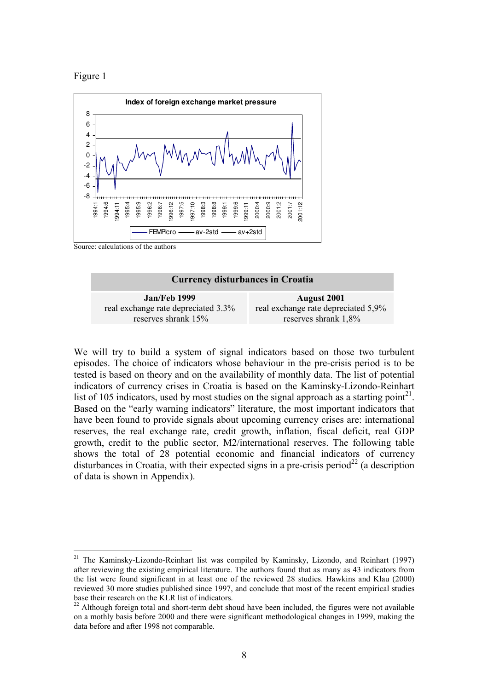

 $\overline{a}$ 



Source: calculations of the authors

#### **Currency disturbances in Croatia**

| <b>Jan/Feb 1999</b>                 | August 2001                         |
|-------------------------------------|-------------------------------------|
| real exchange rate depreciated 3.3% | real exchange rate depreciated 5,9% |
| reserves shrank 15%                 | reserves shrank 1,8%                |

We will try to build a system of signal indicators based on those two turbulent episodes. The choice of indicators whose behaviour in the pre-crisis period is to be tested is based on theory and on the availability of monthly data. The list of potential indicators of currency crises in Croatia is based on the Kaminsky-Lizondo-Reinhart list of 105 indicators, used by most studies on the signal approach as a starting point<sup>21</sup>. Based on the "early warning indicators" literature, the most important indicators that have been found to provide signals about upcoming currency crises are: international reserves, the real exchange rate, credit growth, inflation, fiscal deficit, real GDP growth, credit to the public sector, M2/international reserves. The following table shows the total of 28 potential economic and financial indicators of currency disturbances in Croatia, with their expected signs in a pre-crisis period<sup>22</sup> (a description of data is shown in Appendix).

<sup>&</sup>lt;sup>21</sup> The Kaminsky-Lizondo-Reinhart list was compiled by Kaminsky, Lizondo, and Reinhart (1997) after reviewing the existing empirical literature. The authors found that as many as 43 indicators from the list were found significant in at least one of the reviewed 28 studies. Hawkins and Klau (2000) reviewed 30 more studies published since 1997, and conclude that most of the recent empirical studies base their research on the KLR list of indicators.

 $^{22}$  Although foreign total and short-term debt shoud have been included, the figures were not available on a mothly basis before 2000 and there were significant methodological changes in 1999, making the data before and after 1998 not comparable.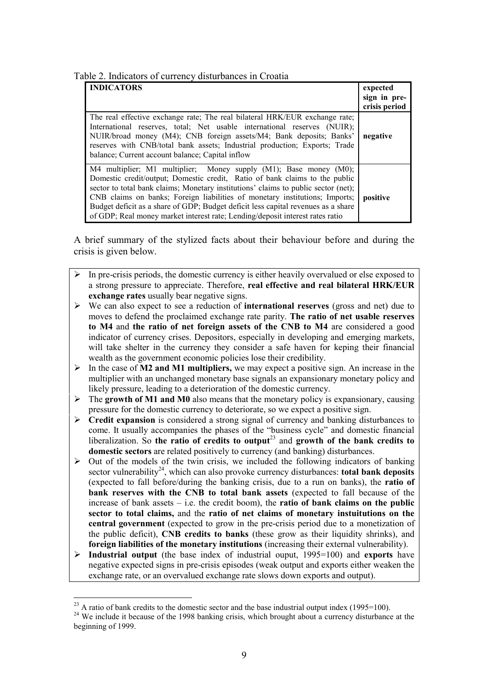| Table 2. Indicators of currency disturbances in Croatia |  |
|---------------------------------------------------------|--|
|---------------------------------------------------------|--|

| <b>INDICATORS</b>                                                                                                                                                                                                                                                                                                                                                                                                                                                                           | expected<br>sign in pre-<br>crisis period |
|---------------------------------------------------------------------------------------------------------------------------------------------------------------------------------------------------------------------------------------------------------------------------------------------------------------------------------------------------------------------------------------------------------------------------------------------------------------------------------------------|-------------------------------------------|
| The real effective exchange rate; The real bilateral HRK/EUR exchange rate;<br>International reserves, total; Net usable international reserves (NUIR);<br>NUIR/broad money (M4); CNB foreign assets/M4; Bank deposits; Banks'<br>reserves with CNB/total bank assets; Industrial production; Exports; Trade<br>balance; Current account balance; Capital inflow                                                                                                                            | negative                                  |
| M4 multiplier; M1 multiplier; Money supply (M1); Base money (M0);<br>Domestic credit/output; Domestic credit, Ratio of bank claims to the public<br>sector to total bank claims; Monetary institutions' claims to public sector (net);<br>CNB claims on banks; Foreign liabilities of monetary institutions; Imports;<br>Budget deficit as a share of GDP; Budget deficit less capital revenues as a share<br>of GDP; Real money market interest rate; Lending/deposit interest rates ratio | positive                                  |

A brief summary of the stylized facts about their behaviour before and during the crisis is given below.

- $\triangleright$  In pre-crisis periods, the domestic currency is either heavily overvalued or else exposed to a strong pressure to appreciate. Therefore, **real effective and real bilateral HRK/EUR exchange rates** usually bear negative signs.
- ! We can also expect to see a reduction of **international reserves** (gross and net) due to moves to defend the proclaimed exchange rate parity. **The ratio of net usable reserves to M4** and **the ratio of net foreign assets of the CNB to M4** are considered a good indicator of currency crises. Depositors, especially in developing and emerging markets, will take shelter in the currency they consider a safe haven for keping their financial wealth as the government economic policies lose their credibility.
- ! In the case of **M2 and M1 multipliers,** we may expect a positive sign. An increase in the multiplier with an unchanged monetary base signals an expansionary monetary policy and likely pressure, leading to a deterioration of the domestic currency.
- ! The **growth of M1 and M0** also means that the monetary policy is expansionary, causing pressure for the domestic currency to deteriorate, so we expect a positive sign.
- ! **Credit expansion** is considered a strong signal of currency and banking disturbances to come. It usually accompanies the phases of the "business cycle" and domestic financial liberalization. So the ratio of credits to output<sup>23</sup> and growth of the bank credits to **domestic sectors** are related positively to currency (and banking) disturbances.
- $\triangleright$  Out of the models of the twin crisis, we included the following indicators of banking sector vulnerability<sup>24</sup>, which can also provoke currency disturbances: **total bank deposits** (expected to fall before/during the banking crisis, due to a run on banks), the **ratio of bank reserves with the CNB to total bank assets** (expected to fall because of the increase of bank assets  $\overline{a}$  i.e. the credit boom), the **ratio of bank claims on the public sector to total claims,** and the **ratio of net claims of monetary instuitutions on the central government** (expected to grow in the pre-crisis period due to a monetization of the public deficit), **CNB credits to banks** (these grow as their liquidity shrinks), and **foreign liabilities of the monetary institutions** (increasing their external vulnerability).
- $\geq$  **Industrial output** (the base index of industrial ouput, 1995=100) and **exports** have negative expected signs in pre-crisis episodes (weak output and exports either weaken the exchange rate, or an overvalued exchange rate slows down exports and output).

 $\overline{a}$ 

 $^{23}$  A ratio of bank credits to the domestic sector and the base industrial output index (1995=100).

<sup>&</sup>lt;sup>24</sup> We include it because of the 1998 banking crisis, which brought about a currency disturbance at the beginning of 1999.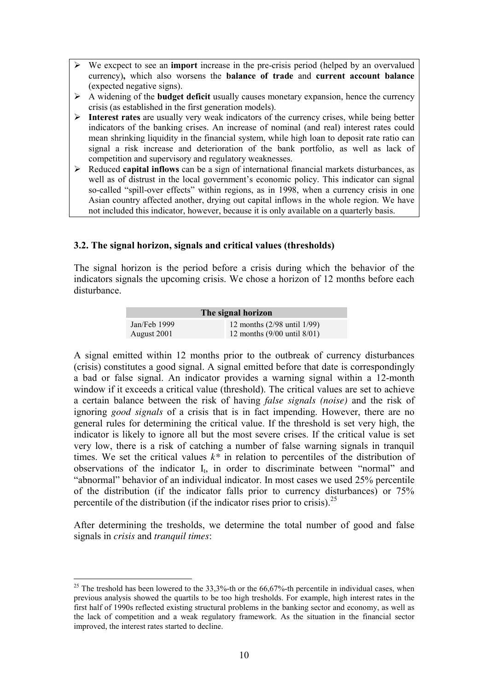- ! We excpect to see an **import** increase in the pre-crisis period (helped by an overvalued currency)**,** which also worsens the **balance of trade** and **current account balance** (expected negative signs).
- ! A widening of the **budget deficit** usually causes monetary expansion, hence the currency crisis (as established in the first generation models).
- ! **Interest rates** are usually very weak indicators of the currency crises, while being better indicators of the banking crises. An increase of nominal (and real) interest rates could mean shrinking liquidity in the financial system, while high loan to deposit rate ratio can signal a risk increase and deterioration of the bank portfolio, as well as lack of competition and supervisory and regulatory weaknesses.
- ! Reduced **capital inflows** can be a sign of international financial markets disturbances, as well as of distrust in the local government's economic policy. This indicator can signal so-called "spill-over effects" within regions, as in 1998, when a currency crisis in one Asian country affected another, drying out capital inflows in the whole region. We have not included this indicator, however, because it is only available on a quarterly basis.

### **3.2. The signal horizon, signals and critical values (thresholds)**

The signal horizon is the period before a crisis during which the behavior of the indicators signals the upcoming crisis. We chose a horizon of 12 months before each disturbance.

| The signal horizon |                                        |  |  |  |  |
|--------------------|----------------------------------------|--|--|--|--|
| Jan/Feb $1999$     | 12 months $(2/98 \text{ until } 1/99)$ |  |  |  |  |
| August 2001        | 12 months $(9/00 \text{ until } 8/01)$ |  |  |  |  |

A signal emitted within 12 months prior to the outbreak of currency disturbances (crisis) constitutes a good signal. A signal emitted before that date is correspondingly a bad or false signal. An indicator provides a warning signal within a 12-month window if it exceeds a critical value (threshold). The critical values are set to achieve a certain balance between the risk of having *false signals (noise)* and the risk of ignoring *good signals* of a crisis that is in fact impending. However, there are no general rules for determining the critical value. If the threshold is set very high, the indicator is likely to ignore all but the most severe crises. If the critical value is set very low, there is a risk of catching a number of false warning signals in tranquil times. We set the critical values *k\** in relation to percentiles of the distribution of observations of the indicator  $I_t$ , in order to discriminate between "normal" and "abnormal" behavior of an individual indicator. In most cases we used 25% percentile of the distribution (if the indicator falls prior to currency disturbances) or 75% percentile of the distribution (if the indicator rises prior to crisis).<sup>25</sup>

After determining the tresholds, we determine the total number of good and false signals in *crisis* and *tranquil times*:

 $\overline{a}$ <sup>25</sup> The treshold has been lowered to the  $33,3%$ -th or the  $66,67%$ -th percentile in individual cases, when previous analysis showed the quartils to be too high tresholds. For example, high interest rates in the first half of 1990s reflected existing structural problems in the banking sector and economy, as well as the lack of competition and a weak regulatory framework. As the situation in the financial sector improved, the interest rates started to decline.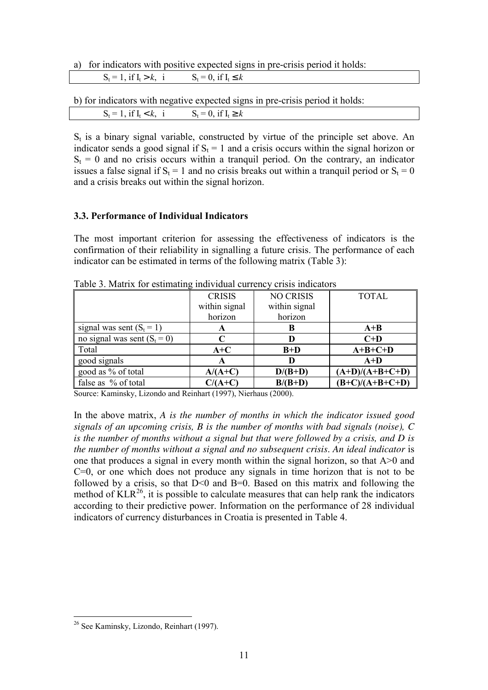a) for indicators with positive expected signs in pre-crisis period it holds:

| $S_t = 1$ , if $I_t > k$ , i | $S_t = 0$ if $T$<br>$\mathbf{u} \cdot \mathbf{u} \geq \mathbf{v}$ |
|------------------------------|-------------------------------------------------------------------|
|                              |                                                                   |

b) for indicators with negative expected signs in pre-crisis period it holds:

| $\mathbf{r}$<br>$S_{0} = 1$ if $T_{0}$<br>້<br>. .<br>. .<br>. | $S_t = 0$<br>$11 - 1$ |  |
|----------------------------------------------------------------|-----------------------|--|
|                                                                |                       |  |

 $S_t$  is a binary signal variable, constructed by virtue of the principle set above. An indicator sends a good signal if  $S_t = 1$  and a crisis occurs within the signal horizon or  $S_t = 0$  and no crisis occurs within a tranquil period. On the contrary, an indicator issues a false signal if  $S_t = 1$  and no crisis breaks out within a tranquil period or  $S_t = 0$ and a crisis breaks out within the signal horizon.

#### **3.3. Performance of Individual Indicators**

The most important criterion for assessing the effectiveness of indicators is the confirmation of their reliability in signalling a future crisis. The performance of each indicator can be estimated in terms of the following matrix (Table 3):

|                                | <b>CRISIS</b> | <b>NO CRISIS</b> | <b>TOTAL</b>      |
|--------------------------------|---------------|------------------|-------------------|
|                                | within signal | within signal    |                   |
|                                | horizon       | horizon          |                   |
| signal was sent $(S_t = 1)$    | A             | в                | $A+B$             |
| no signal was sent $(S_t = 0)$ | C             | D                | $C+D$             |
| Total                          | $A+C$         | $B+D$            | $A+B+C+D$         |
| good signals                   | A             | D                | $A+D$             |
| good as % of total             | $A/(A+C)$     | $D/(B+D)$        | $(A+D)/(A+B+C+D)$ |
| false as % of total            | $C/(A+C)$     | $B/(B+D)$        | $(B+C)/(A+B+C+D)$ |

Table 3. Matrix for estimating individual currency crisis indicators

Source: Kaminsky, Lizondo and Reinhart (1997), Nierhaus (2000).

In the above matrix, *A is the number of months in which the indicator issued good signals of an upcoming crisis, B is the number of months with bad signals (noise), C is the number of months without a signal but that were followed by a crisis, and D is the number of months without a signal and no subsequent crisis*. *An ideal indicator* is one that produces a signal in every month within the signal horizon, so that A>0 and  $C=0$ , or one which does not produce any signals in time horizon that is not to be followed by a crisis, so that  $D \le 0$  and  $B = 0$ . Based on this matrix and following the method of  $KLR^{26}$ , it is possible to calculate measures that can help rank the indicators according to their predictive power. Information on the performance of 28 individual indicators of currency disturbances in Croatia is presented in Table 4.

 $\overline{a}$ <sup>26</sup> See Kaminsky, Lizondo, Reinhart (1997).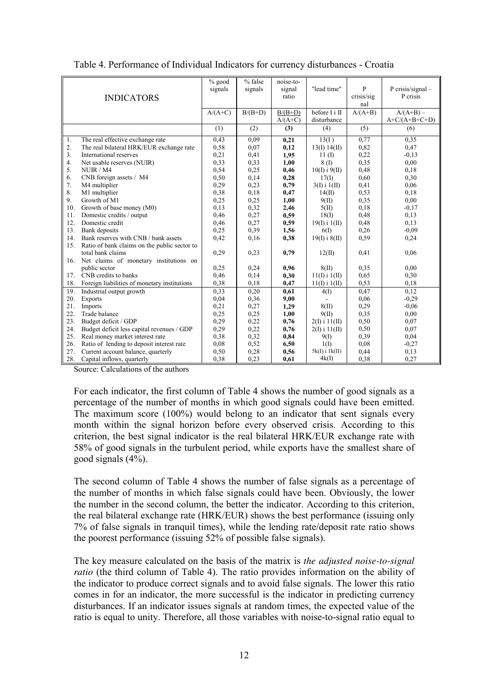|     |                                              | $%$ good  | % false   | noise-to- |                    |            |                  |
|-----|----------------------------------------------|-----------|-----------|-----------|--------------------|------------|------------------|
|     |                                              | signals   | signals   | signal    | "lead time"        | P          | P crisis/signal- |
|     | <b>INDICATORS</b>                            |           |           | ratio     |                    | crisis/sig | P crisis         |
|     |                                              |           |           |           |                    | nal        |                  |
|     |                                              | $A/(A+C)$ | $B/(B+D)$ | $B/(B+D)$ | before I i II      | $A/(A+B)$  | $A/(A+B)$ –      |
|     |                                              |           |           | $A/(A+C)$ | disturbance        |            | $A+C/(A+B+C+D)$  |
|     |                                              | (1)       | (2)       | (3)       | (4)                | (5)        | (6)              |
| 1.  | The real effective exchange rate             | 0.43      | 0.09      | 0,21      | 13(I)              | 0.77       | 0.35             |
| 2.  | The real bilateral HRK/EUR exchange rate     | 0,58      | 0,07      | 0,12      | 13(I) 14(II)       | 0,82       | 0,47             |
| 3.  | International reserves                       | 0,21      | 0,41      | 1,95      | $11 \text{ (I)}$   | 0,22       | $-0,13$          |
| 4.  | Net usable reserves (NUIR)                   | 0,33      | 0.33      | 1,00      | 8(I)               | 0.35       | 0,00             |
| 5.  | NUIR / M4                                    | 0,54      | 0.25      | 0,46      | $10(I)$ i $9(II)$  | 0,48       | 0,18             |
| 6.  | CNB foreign assets / M4                      | 0,50      | 0,14      | 0,28      | 17(I)              | 0,60       | 0,30             |
| 7.  | M4 multiplier                                | 0,29      | 0.23      | 0,79      | $3(I)$ i $1(II)$   | 0,41       | 0,06             |
| 8.  | M1 multiplier                                | 0,38      | 0,18      | 0,47      | 14(II)             | 0,53       | 0,18             |
| 9.  | Growth of M1                                 | 0,25      | 0,25      | 1,00      | 9(II)              | 0,35       | 0,00             |
| 10. | Growth of base money (M0)                    | 0,13      | 0,32      | 2,46      | 5(II)              | 0,18       | $-0.17$          |
| 11. | Domestic credits / output                    | 0,46      | 0,27      | 0,59      | 18(1)              | 0,48       | 0,13             |
| 12. | Domestic credit                              | 0,46      | 0,27      | 0,59      | $19(I)$ i $1(II)$  | 0,48       | 0,13             |
| 13. | Bank deposits                                | 0,25      | 0.39      | 1,56      | 6(1)               | 0.26       | $-0.09$          |
| 14. | Bank reserves with CNB / bank assets         | 0,42      | 0,16      | 0,38      | $19(I)$ i $8(II)$  | 0,59       | 0,24             |
| 15. | Ratio of bank claims on the public sector to |           |           |           |                    |            |                  |
|     | total bank claims                            | 0,29      | 0,23      | 0,79      | 12(II)             | 0.41       | 0,06             |
| 16. | Net claims of monetary institutions on       |           |           |           |                    |            |                  |
|     | public sector                                | 0,25      | 0.24      | 0,96      | 8(II)              | 0.35       | 0.00             |
| 17. | CNB credits to banks                         | 0,46      | 0,14      | 0,30      | $11(I)$ i $1(II)$  | 0.65       | 0,30             |
| 18. | Foreign liabilities of monetary institutions | 0,38      | 0,18      | 0,47      | $11(I)$ i $1(II)$  | 0,53       | 0,18             |
| 19. | Industrial output growth                     | 0,33      | 0,20      | 0,61      | 4(1)               | 0,47       | 0,12             |
| 20. | Exports                                      | 0,04      | 0,36      | 9,00      |                    | 0,06       | $-0,29$          |
| 21. | Imports                                      | 0,21      | 0,27      | 1,29      | 8(II)              | 0.29       | $-0.06$          |
| 22. | Trade balance                                | 0,25      | 0,25      | 1,00      | 9(II)              | 0,35       | 0.00             |
| 23. | Budget deficit / GDP                         | 0,29      | 0,22      | 0,76      | $2(I)$ i $11(II)$  | 0,50       | 0.07             |
| 24. | Budget deficit less capital revenues / GDP   | 0,29      | 0.22      | 0,76      | $2(I)$ i $11(II)$  | 0,50       | 0.07             |
| 25. | Real money market interest rate              | 0,38      | 0.32      | 0,84      | 9(1)               | 0.39       | 0,04             |
| 26. | Ratio of lending to deposit interest rate    | 0.08      | 0,52      | 6,50      | $1(\Gamma)$        | 0.08       | $-0,27$          |
| 27. | Current account balance, quarterly           | 0,50      | 0,28      | 0,56      | $5k(I)$ i $1k(II)$ | 0,44       | 0.13             |
| 28. | Capital inflows, quarterly                   | 0.38      | 0,23      | 0,61      | 4k(I)              | 0,38       | 0,27             |

Table 4. Performance of Individual Indicators for currency disturbances - Croatia

Source: Calculations of the authors

For each indicator, the first column of Table 4 shows the number of good signals as a percentage of the number of months in which good signals could have been emitted. The maximum score (100%) would belong to an indicator that sent signals every month within the signal horizon before every observed crisis. According to this criterion, the best signal indicator is the real bilateral HRK/EUR exchange rate with 58% of good signals in the turbulent period, while exports have the smallest share of good signals (4%).

The second column of Table 4 shows the number of false signals as a percentage of the number of months in which false signals could have been. Obviously, the lower the number in the second column, the better the indicator. According to this criterion, the real bilateral exchange rate (HRK/EUR) shows the best performance (issuing only 7% of false signals in tranquil times), while the lending rate/deposit rate ratio shows the poorest performance (issuing 52% of possible false signals).

The key measure calculated on the basis of the matrix is *the adjusted noise-to-signal ratio* (the third column of Table 4). The ratio provides information on the ability of the indicator to produce correct signals and to avoid false signals. The lower this ratio comes in for an indicator, the more successful is the indicator in predicting currency disturbances. If an indicator issues signals at random times, the expected value of the ratio is equal to unity. Therefore, all those variables with noise-to-signal ratio equal to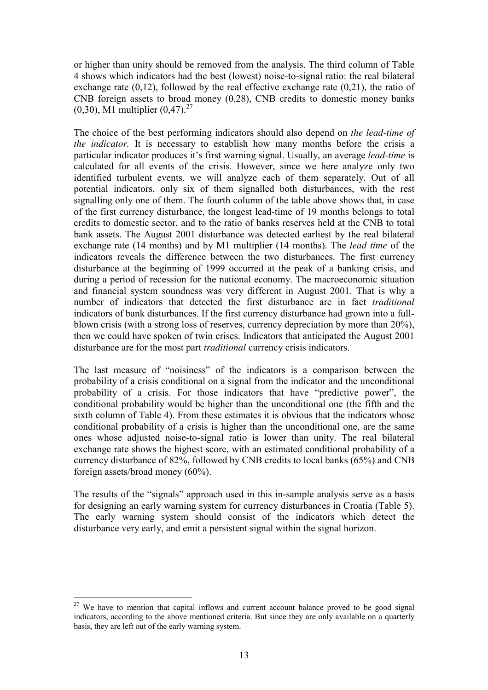or higher than unity should be removed from the analysis. The third column of Table 4 shows which indicators had the best (lowest) noise-to-signal ratio: the real bilateral exchange rate (0,12), followed by the real effective exchange rate (0,21), the ratio of CNB foreign assets to broad money (0,28), CNB credits to domestic money banks  $(0,30)$ , M1 multiplier  $(0,47)$ .<sup>27</sup>

The choice of the best performing indicators should also depend on *the lead-time of the indicator*. It is necessary to establish how many months before the crisis a particular indicator produces it's first warning signal. Usually, an average *lead-time* is calculated for all events of the crisis. However, since we here analyze only two identified turbulent events, we will analyze each of them separately. Out of all potential indicators, only six of them signalled both disturbances, with the rest signalling only one of them. The fourth column of the table above shows that, in case of the first currency disturbance, the longest lead-time of 19 months belongs to total credits to domestic sector, and to the ratio of banks reserves held at the CNB to total bank assets. The August 2001 disturbance was detected earliest by the real bilateral exchange rate (14 months) and by M1 multiplier (14 months). The *lead time* of the indicators reveals the difference between the two disturbances. The first currency disturbance at the beginning of 1999 occurred at the peak of a banking crisis, and during a period of recession for the national economy. The macroeconomic situation and financial system soundness was very different in August 2001. That is why a number of indicators that detected the first disturbance are in fact *traditional* indicators of bank disturbances. If the first currency disturbance had grown into a fullblown crisis (with a strong loss of reserves, currency depreciation by more than 20%), then we could have spoken of twin crises. Indicators that anticipated the August 2001 disturbance are for the most part *traditional* currency crisis indicators.

The last measure of "noisiness" of the indicators is a comparison between the probability of a crisis conditional on a signal from the indicator and the unconditional probability of a crisis. For those indicators that have "predictive power", the conditional probability would be higher than the unconditional one (the fifth and the sixth column of Table 4). From these estimates it is obvious that the indicators whose conditional probability of a crisis is higher than the unconditional one, are the same ones whose adjusted noise-to-signal ratio is lower than unity. The real bilateral exchange rate shows the highest score, with an estimated conditional probability of a currency disturbance of 82%, followed by CNB credits to local banks (65%) and CNB foreign assets/broad money (60%).

The results of the "signals" approach used in this in-sample analysis serve as a basis for designing an early warning system for currency disturbances in Croatia (Table 5). The early warning system should consist of the indicators which detect the disturbance very early, and emit a persistent signal within the signal horizon.

 $\overline{a}$  $27$  We have to mention that capital inflows and current account balance proved to be good signal indicators, according to the above mentioned criteria. But since they are only available on a quarterly basis, they are left out of the early warning system.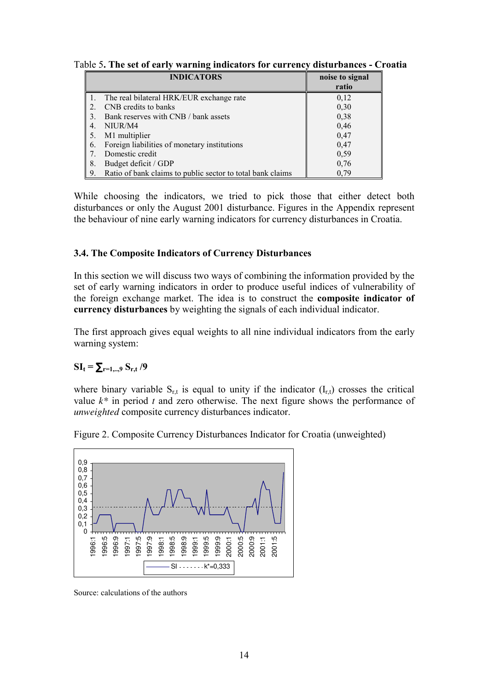|    | <b>INDICATORS</b>                                          | noise to signal |
|----|------------------------------------------------------------|-----------------|
|    |                                                            | ratio           |
|    | The real bilateral HRK/EUR exchange rate                   | 0,12            |
|    | CNB credits to banks                                       | 0,30            |
|    | Bank reserves with CNB / bank assets                       | 0,38            |
|    | NIUR/M4                                                    | 0,46            |
|    | M1 multiplier                                              | 0,47            |
| 6. | Foreign liabilities of monetary institutions               | 0,47            |
|    | Domestic credit                                            | 0,59            |
| 8. | Budget deficit / GDP                                       | 0,76            |
| 9. | Ratio of bank claims to public sector to total bank claims | 0.79            |

Table 5**. The set of early warning indicators for currency disturbances - Croatia**

While choosing the indicators, we tried to pick those that either detect both disturbances or only the August 2001 disturbance. Figures in the Appendix represent the behaviour of nine early warning indicators for currency disturbances in Croatia.

### **3.4. The Composite Indicators of Currency Disturbances**

In this section we will discuss two ways of combining the information provided by the set of early warning indicators in order to produce useful indices of vulnerability of the foreign exchange market. The idea is to construct the **composite indicator of currency disturbances** by weighting the signals of each individual indicator.

The first approach gives equal weights to all nine individual indicators from the early warning system:

## $SI_t = \sum_{r=1,..,9} S_{r,t}$  /9

where binary variable  $S_{r,t}$  is equal to unity if the indicator  $(I_{r,t})$  crosses the critical value *k\** in period *t* and zero otherwise. The next figure shows the performance of *unweighted* composite currency disturbances indicator.



Figure 2. Composite Currency Disturbances Indicator for Croatia (unweighted)

Source: calculations of the authors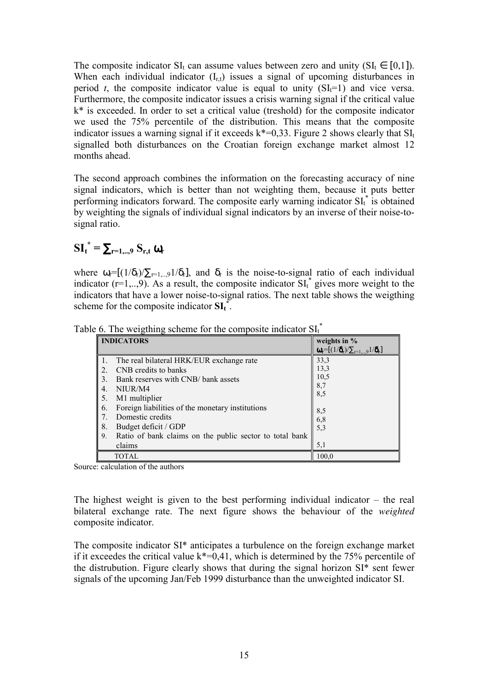The composite indicator  $SI_t$  can assume values between zero and unity ( $SI_t \in [0,1]$ ). When each individual indicator  $(I_{r,t})$  issues a signal of upcoming disturbances in period *t*, the composite indicator value is equal to unity  $(SI<sub>i</sub>=1)$  and vice versa. Furthermore, the composite indicator issues a crisis warning signal if the critical value  $k^*$  is exceeded. In order to set a critical value (treshold) for the composite indicator we used the 75% percentile of the distribution. This means that the composite indicator issues a warning signal if it exceeds  $k^*=0.33$ . Figure 2 shows clearly that  $SI_t$ signalled both disturbances on the Croatian foreign exchange market almost 12 months ahead.

The second approach combines the information on the forecasting accuracy of nine signal indicators, which is better than not weighting them, because it puts better performing indicators forward. The composite early warning indicator  $\mathrm{SI}_{t}^{*}$  is obtained by weighting the signals of individual signal indicators by an inverse of their noise-tosignal ratio.

$$
\mathbf{SI_t}^* = \sum_{r=1,..,9} S_{r,t} \mathbf{\omega}_r
$$

where  $\omega_r = [(1/\delta_r)/\sum_{r=1,\dots,9} (1/\delta_r)]$ , and  $\delta_r$  is the noise-to-signal ratio of each individual indicator ( $r=1,...,9$ ). As a result, the composite indicator  $SI<sub>t</sub><sup>*</sup>$  gives more weight to the indicators that have a lower noise-to-signal ratios. The next table shows the weigthing scheme for the composite indicator  $\text{SI}_t^*$ .

| <b>INDICATORS</b>                                             | weights in $%$                                                  |
|---------------------------------------------------------------|-----------------------------------------------------------------|
|                                                               | $\mathbf{\omega}_{r}=[(1/\delta_{r})/\sum_{r=1,9}1/\delta_{r}]$ |
| The real bilateral HRK/EUR exchange rate                      | 33,3                                                            |
| CNB credits to banks                                          | 13,3                                                            |
| Bank reserves with CNB/ bank assets<br>3.                     | 10,5                                                            |
| NIUR/M4<br>4.                                                 | 8,7                                                             |
| M1 multiplier<br>5.                                           | 8,5                                                             |
| Foreign liabilities of the monetary institutions<br>6.        | 8,5                                                             |
| Domestic credits                                              |                                                                 |
| 8.<br>Budget deficit / GDP                                    | $6,8$<br>$5,3$                                                  |
| Ratio of bank claims on the public sector to total bank<br>9. |                                                                 |
| claims                                                        | 5,1                                                             |
| <b>TOTAL</b>                                                  | 100,0                                                           |

Table 6. The weigthing scheme for the composite indicator  $\text{SI}^{\dagger}_{t}$ 

Source: calculation of the authors

The highest weight is given to the best performing individual indicator  $-$  the real bilateral exchange rate. The next figure shows the behaviour of the *weighted* composite indicator.

The composite indicator SI\* anticipates a turbulence on the foreign exchange market if it exceedes the critical value  $k^*=0.41$ , which is determined by the 75% percentile of the distrubution. Figure clearly shows that during the signal horizon SI\* sent fewer signals of the upcoming Jan/Feb 1999 disturbance than the unweighted indicator SI.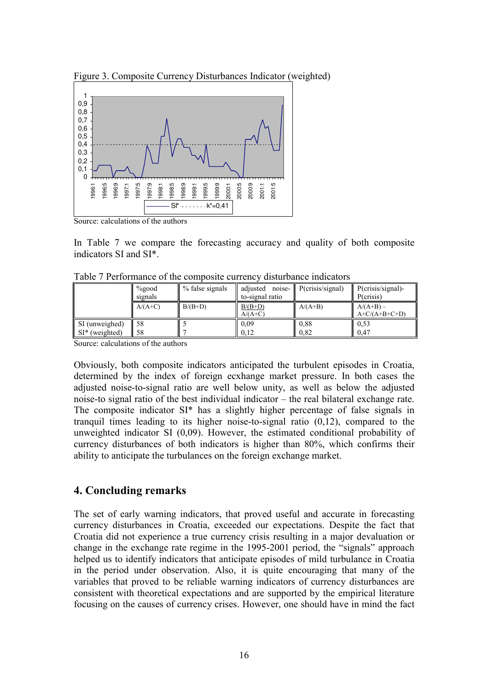Figure 3. Composite Currency Disturbances Indicator (weighted)



Source: calculations of the authors

In Table 7 we compare the forecasting accuracy and quality of both composite indicators SI and SI\*.

|                                     | $\%$ good<br>signals | % false signals | adjusted<br>to-signal ratio | noise- $\ $ P(crisis/signal) | P(crisis/signal)<br>P(crisis)  |
|-------------------------------------|----------------------|-----------------|-----------------------------|------------------------------|--------------------------------|
|                                     | $A/(A+C)$            | $B/(B+D)$       | $B/(B+D)$<br>$A/(A+C)$      | $A/(A+B)$                    | $A/(A+B)$ –<br>$A+C/(A+B+C+D)$ |
| SI (unweighed)<br>$SI^*$ (weighted) | 58<br>58             |                 | 0.09<br>0.12                | 0.88<br>0.82                 | 0,53<br>0.47                   |

Table 7 Performance of the composite currency disturbance indicators

Source: calculations of the authors

Obviously, both composite indicators anticipated the turbulent episodes in Croatia, determined by the index of foreign ecxhange market pressure. In both cases the adjusted noise-to-signal ratio are well below unity, as well as below the adjusted noise-to signal ratio of the best individual indicator  $-$  the real bilateral exchange rate. The composite indicator SI\* has a slightly higher percentage of false signals in tranquil times leading to its higher noise-to-signal ratio (0,12), compared to the unweighted indicator SI (0,09). However, the estimated conditional probability of currency disturbances of both indicators is higher than 80%, which confirms their ability to anticipate the turbulances on the foreign exchange market.

# **4. Concluding remarks**

The set of early warning indicators, that proved useful and accurate in forecasting currency disturbances in Croatia, exceeded our expectations. Despite the fact that Croatia did not experience a true currency crisis resulting in a major devaluation or change in the exchange rate regime in the  $1995-2001$  period, the "signals" approach helped us to identify indicators that anticipate episodes of mild turbulance in Croatia in the period under observation. Also, it is quite encouraging that many of the variables that proved to be reliable warning indicators of currency disturbances are consistent with theoretical expectations and are supported by the empirical literature focusing on the causes of currency crises. However, one should have in mind the fact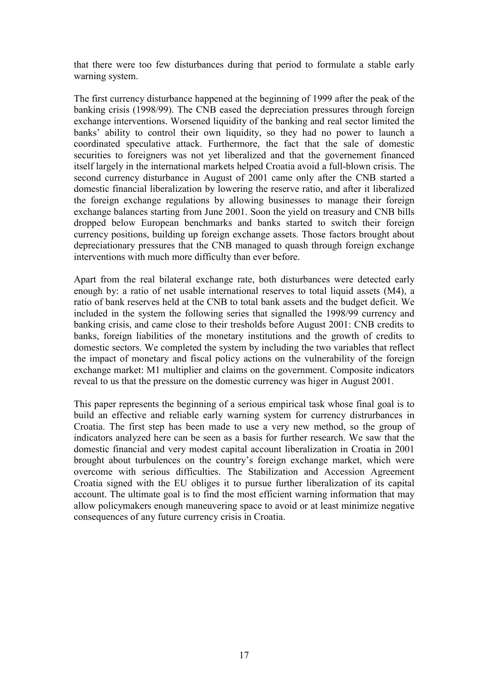that there were too few disturbances during that period to formulate a stable early warning system.

The first currency disturbance happened at the beginning of 1999 after the peak of the banking crisis (1998/99). The CNB eased the depreciation pressures through foreign exchange interventions. Worsened liquidity of the banking and real sector limited the banks' ability to control their own liquidity, so they had no power to launch a coordinated speculative attack. Furthermore, the fact that the sale of domestic securities to foreigners was not yet liberalized and that the governement financed itself largely in the international markets helped Croatia avoid a full-blown crisis. The second currency disturbance in August of 2001 came only after the CNB started a domestic financial liberalization by lowering the reserve ratio, and after it liberalized the foreign exchange regulations by allowing businesses to manage their foreign exchange balances starting from June 2001. Soon the yield on treasury and CNB bills dropped below European benchmarks and banks started to switch their foreign currency positions, building up foreign exchange assets. Those factors brought about depreciationary pressures that the CNB managed to quash through foreign exchange interventions with much more difficulty than ever before.

Apart from the real bilateral exchange rate, both disturbances were detected early enough by: a ratio of net usable international reserves to total liquid assets (M4), a ratio of bank reserves held at the CNB to total bank assets and the budget deficit. We included in the system the following series that signalled the 1998/99 currency and banking crisis, and came close to their tresholds before August 2001: CNB credits to banks, foreign liabilities of the monetary institutions and the growth of credits to domestic sectors. We completed the system by including the two variables that reflect the impact of monetary and fiscal policy actions on the vulnerability of the foreign exchange market: M1 multiplier and claims on the government. Composite indicators reveal to us that the pressure on the domestic currency was higer in August 2001.

This paper represents the beginning of a serious empirical task whose final goal is to build an effective and reliable early warning system for currency distrurbances in Croatia. The first step has been made to use a very new method, so the group of indicators analyzed here can be seen as a basis for further research. We saw that the domestic financial and very modest capital account liberalization in Croatia in 2001 brought about turbulences on the country's foreign exchange market, which were overcome with serious difficulties. The Stabilization and Accession Agreement Croatia signed with the EU obliges it to pursue further liberalization of its capital account. The ultimate goal is to find the most efficient warning information that may allow policymakers enough maneuvering space to avoid or at least minimize negative consequences of any future currency crisis in Croatia.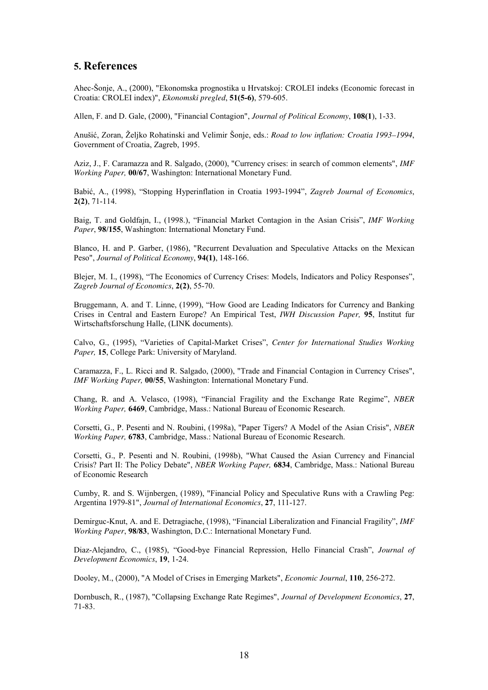### **5. References**

Ahec-äonje, A., (2000), "Ekonomska prognostika u Hrvatskoj: CROLEI indeks (Economic forecast in Croatia: CROLEI index)", *Ekonomski pregled*, **51(5-6)**, 579-605.

Allen, F. and D. Gale, (2000), "Financial Contagion", *Journal of Political Economy*, **108(1**), 1-33.

Anuöić, Zoran, éeljko Rohatinski and Velimir äonje, eds.: *Road to low inflation: Croatia 1993–1994*, Government of Croatia, Zagreb, 1995.

Aziz, J., F. Caramazza and R. Salgado, (2000), "Currency crises: in search of common elements", *IMF Working Paper,* **00/67**, Washington: International Monetary Fund.

Babić, A., (1998), "Stopping Hyperinflation in Croatia 1993-1994", *Zagreb Journal of Economics*, **2(2)**, 71-114.

Baig, T. and Goldfajn, I., (1998.), "Financial Market Contagion in the Asian Crisis", *IMF Working Paper*, **98/155**, Washington: International Monetary Fund.

Blanco, H. and P. Garber, (1986), "Recurrent Devaluation and Speculative Attacks on the Mexican Peso", *Journal of Political Economy*, **94(1)**, 148-166.

Blejer, M. I., (1998), "The Economics of Currency Crises: Models, Indicators and Policy Responses", *Zagreb Journal of Economics*, **2(2)**, 55-70.

Bruggemann, A. and T. Linne, (1999), "How Good are Leading Indicators for Currency and Banking Crises in Central and Eastern Europe? An Empirical Test, *IWH Discussion Paper,* **95**, Institut fur Wirtschaftsforschung Halle, (LINK documents).

Calvo, G., (1995), "Varieties of Capital-Market Crises", *Center for International Studies Working Paper,* **15**, College Park: University of Maryland.

Caramazza, F., L. Ricci and R. Salgado, (2000), "Trade and Financial Contagion in Currency Crises", *IMF Working Paper,* **00/55**, Washington: International Monetary Fund.

Chang, R. and A. Velasco, (1998), "Financial Fragility and the Exchange Rate Regime", *NBER Working Paper,* **6469**, Cambridge, Mass.: National Bureau of Economic Research.

Corsetti, G., P. Pesenti and N. Roubini, (1998a), "Paper Tigers? A Model of the Asian Crisis", *NBER Working Paper,* **6783**, Cambridge, Mass.: National Bureau of Economic Research.

Corsetti, G., P. Pesenti and N. Roubini, (1998b), "What Caused the Asian Currency and Financial Crisis? Part II: The Policy Debate", *NBER Working Paper,* **6834**, Cambridge, Mass.: National Bureau of Economic Research

Cumby, R. and S. Wijnbergen, (1989), "Financial Policy and Speculative Runs with a Crawling Peg: Argentina 1979-81", *Journal of International Economics*, **27**, 111-127.

Demirguc-Knut, A. and E. Detragiache, (1998), "Financial Liberalization and Financial Fragility", *IMF Working Paper*, **98/83**, Washington, D.C.: International Monetary Fund.

Diaz-Alejandro, C., (1985), "Good-bye Financial Repression, Hello Financial Crash", *Journal of Development Economics*, **19**, 1-24.

Dooley, M., (2000), "A Model of Crises in Emerging Markets", *Economic Journal*, **110**, 256-272.

Dornbusch, R., (1987), "Collapsing Exchange Rate Regimes", *Journal of Development Economics*, **27**, 71-83.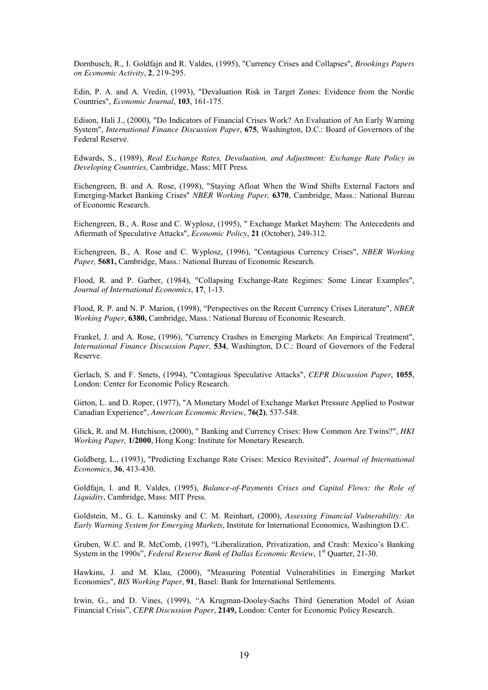Dornbusch, R., I. Goldfajn and R. Valdes, (1995), "Currency Crises and Collapses", *Brookings Papers on Economic Activity*, **2**, 219-295.

Edin, P. A. and A. Vredin, (1993), "Devaluation Risk in Target Zones: Evidence from the Nordic Countries", *Economic Journal*, **103**, 161-175.

Edison, Hali J., (2000), "Do Indicators of Financial Crises Work? An Evaluation of An Early Warning System", *International Finance Discussion Paper*, **675**, Washington, D.C.: Board of Governors of the Federal Reserve.

Edwards, S., (1989), *Real Exchange Rates, Devaluation, and Adjustment: Exchange Rate Policy in Developing Countries*, Cambridge, Mass: MIT Press.

Eichengreen, B. and A. Rose, (1998), "Staying Afloat When the Wind Shifts External Factors and Emerging-Market Banking Crises" *NBER Working Paper,* **6370**, Cambridge, Mass.: National Bureau of Economic Research.

Eichengreen, B., A. Rose and C. Wyplosz, (1995), " Exchange Market Mayhem: The Antecedents and Aftermath of Speculative Attacks", *Economic Policy*, **21** (October), 249-312.

Eichengreen, B., A. Rose and C. Wyplosz, (1996), "Contagious Currency Crises", *NBER Working Paper,* **5681,** Cambridge, Mass.: National Bureau of Economic Research.

Flood, R. and P. Garber, (1984), "Collapsing Exchange-Rate Regimes: Some Linear Examples", *Journal of International Economics*, **17**, 1-13.

Flood, R. P. and N. P. Marion, (1998), "Perspectives on the Recent Currency Crises Literature", *NBER Working Paper*, **6380,** Cambridge, Mass.: National Bureau of Economic Research.

Frankel, J. and A. Rose, (1996), "Currency Crashes in Emerging Markets: An Empirical Treatment", *International Finance Discussion Paper*, **534**, Washington, D.C.: Board of Governors of the Federal Reserve.

Gerlach, S. and F. Smets, (1994), "Contagious Speculative Attacks", *CEPR Discussion Paper*, **1055**, London: Center for Economic Policy Research.

Girton, L. and D. Roper, (1977), "A Monetary Model of Exchange Market Pressure Applied to Postwar Canadian Experience", *American Economic Review*, **76(2)**, 537-548.

Glick, R. and M. Hutchison, (2000), " Banking and Currency Crises: How Common Are Twins?", *HKI Working Paper,* **1/2000**, Hong Kong: Institute for Monetary Research.

Goldberg, L., (1993), "Predicting Exchange Rate Crises: Mexico Revisited", *Journal of International Economics*, **36**, 413-430.

Goldfajn, I. and R. Valdes, (1995), *Balance-of-Payments Crises and Capital Flows: the Role of Liquidity*, Cambridge, Mass: MIT Press.

Goldstein, M., G. L. Kaminsky and C. M. Reinhart, (2000), *Assessing Financial Vulnerability: An Early Warning System for Emerging Markets*, Institute for International Economics, Washington D.C.

Gruben, W.C. and R. McComb, (1997), "Liberalization, Privatization, and Crash: Mexico's Banking System in the 1990s", *Federal Reserve Bank of Dallas Economic Review*, 1<sup>st</sup> Quarter, 21-30.

Hawkins, J. and M. Klau, (2000), "Measuring Potential Vulnerabilities in Emerging Market Economies", *BIS Working Paper*, **91**, Basel: Bank for International Settlements.

Irwin, G., and D. Vines, (1999), "A Krugman-Dooley-Sachs Third Generation Model of Asian Financial Crisisî, *CEPR Discussion Paper*, **2149,** London: Center for Economic Policy Research.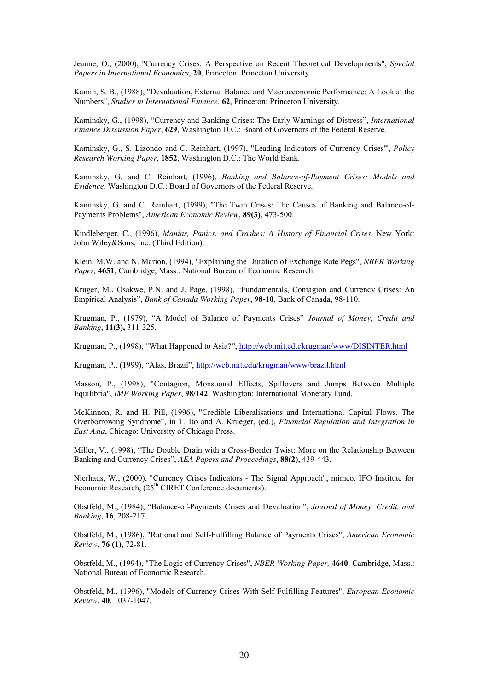Jeanne, O., (2000), "Currency Crises: A Perspective on Recent Theoretical Developments", *Special Papers in International Economics*, **20**, Princeton: Princeton University.

Kamin, S. B., (1988), "Devaluation, External Balance and Macroeconomic Performance: A Look at the Numbers", *Studies in International Finance*, **62**, Princeton: Princeton University.

Kaminsky, G., (1998), "Currency and Banking Crises: The Early Warnings of Distress", *International Finance Discussion Paper*, **629**, Washington D.C.: Board of Governors of the Federal Reserve.

Kaminsky, G., S. Lizondo and C. Reinhart, (1997), "Leading Indicators of Currency Crises**",** *Policy Research Working Paper*, **1852**, Washington D.C.: The World Bank.

Kaminsky, G. and C. Reinhart, (1996), *Banking and Balance-of-Payment Crises: Models and Evidence*, Washington D.C.: Board of Governors of the Federal Reserve.

Kaminsky, G. and C. Reinhart, (1999), "The Twin Crises: The Causes of Banking and Balance-of-Payments Problems", *American Economic Review*, **89(3)**, 473-500.

Kindleberger, C., (1996), *Manias, Panics, and Crashes: A History of Financial Crises*, New York: John Wiley&Sons, Inc. (Third Edition).

Klein, M.W. and N. Marion, (1994), "Explaining the Duration of Exchange Rate Pegs", *NBER Working Paper,* **4651**, Cambridge, Mass.: National Bureau of Economic Research.

Kruger, M., Osakwe, P.N. and J. Page, (1998), "Fundamentals, Contagion and Currency Crises: An Empirical Analysisî, *Bank of Canada Working Paper*, **98-10**, Bank of Canada, 98-110.

Krugman, P., (1979), "A Model of Balance of Payments Crises" Journal of Money, Credit and *Banking*, **11(3),** 311-325.

Krugman, P., (1998), "What Happened to Asia?", http://web.mit.edu/krugman/www/DISINTER.html

Krugman, P., (1999), "Alas, Brazil", http://web.mit.edu/krugman/www/brazil.html

Masson, P., (1998), "Contagion, Monsoonal Effects, Spillovers and Jumps Between Multiple Equilibria", *IMF Working Paper*, **98/142**, Washington: International Monetary Fund.

McKinnon, R. and H. Pill, (1996), "Credible Liberalisations and International Capital Flows. The Overborrowing Syndrome", in T. Ito and A. Krueger, (ed.), *Financial Regulation and Integration in East Asia*, Chicago: University of Chicago Press.

Miller, V., (1998), "The Double Drain with a Cross-Border Twist: More on the Relationship Between Banking and Currency Crises", *AEA Papers and Proceedings*, **88(2)**, 439-443.

Nierhaus, W., (2000), "Currency Crises Indicators - The Signal Approach", mimeo, IFO Institute for Economic Research,  $(25<sup>th</sup> CIRET$  Conference documents).

Obstfeld, M., (1984), "Balance-of-Payments Crises and Devaluation", *Journal of Money, Credit, and Banking*, **16**, 208-217.

Obstfeld, M., (1986), "Rational and Self-Fulfilling Balance of Payments Crises", *American Economic Review*, **76 (1)**, 72-81.

Obstfeld, M., (1994), "The Logic of Currency Crises", *NBER Working Paper,* **4640**, Cambridge, Mass.: National Bureau of Economic Research.

Obstfeld, M., (1996), "Models of Currency Crises With Self-Fulfilling Features", *European Economic Review*, **40**, 1037-1047.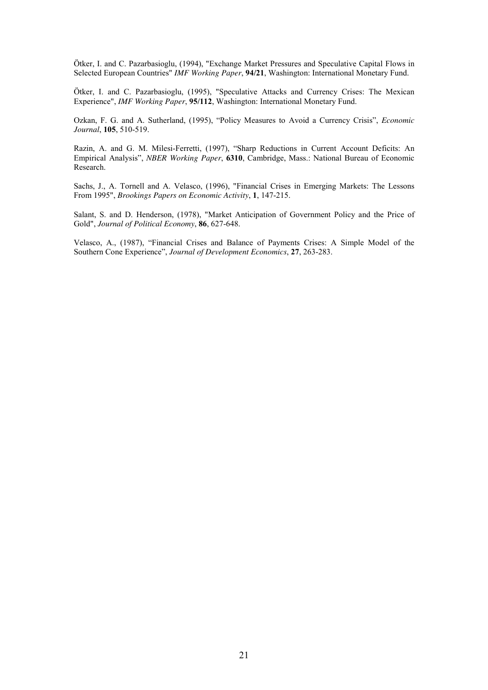Ötker, I. and C. Pazarbasioglu, (1994), "Exchange Market Pressures and Speculative Capital Flows in Selected European Countries" *IMF Working Paper*, **94/21**, Washington: International Monetary Fund.

Ötker, I. and C. Pazarbasioglu, (1995), "Speculative Attacks and Currency Crises: The Mexican Experience", *IMF Working Paper*, **95/112**, Washington: International Monetary Fund.

Ozkan, F. G. and A. Sutherland, (1995), "Policy Measures to Avoid a Currency Crisis", *Economic Journal*, **105**, 510-519.

Razin, A. and G. M. Milesi-Ferretti, (1997), "Sharp Reductions in Current Account Deficits: An Empirical Analysisî, *NBER Working Paper*, **6310**, Cambridge, Mass.: National Bureau of Economic Research.

Sachs, J., A. Tornell and A. Velasco, (1996), "Financial Crises in Emerging Markets: The Lessons From 1995", *Brookings Papers on Economic Activity*, **1**, 147-215.

Salant, S. and D. Henderson, (1978), "Market Anticipation of Government Policy and the Price of Gold", *Journal of Political Economy*, **86**, 627-648.

Velasco, A., (1987), "Financial Crises and Balance of Payments Crises: A Simple Model of the Southern Cone Experienceî, *Journal of Development Economics*, **27**, 263-283.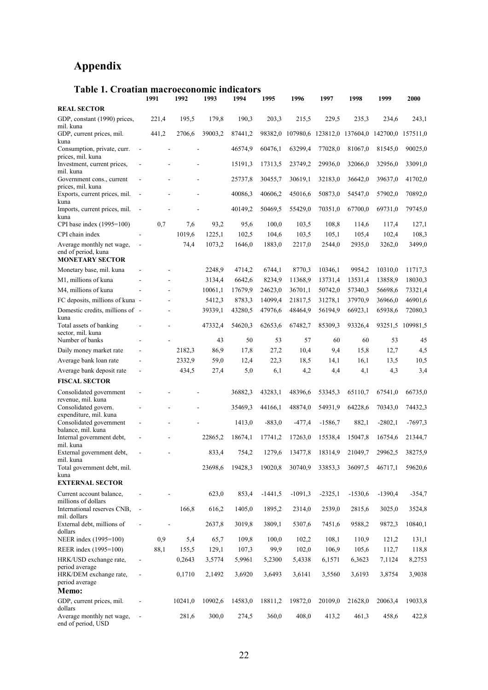# **Appendix**

| Table 1. Croatian macroeconomic indicators                                 | 1991                             | 1992    | 1993    | 1994    | 1995      | 1996                   | 1997      | 1998      | 1999                                                 | 2000             |
|----------------------------------------------------------------------------|----------------------------------|---------|---------|---------|-----------|------------------------|-----------|-----------|------------------------------------------------------|------------------|
| <b>REAL SECTOR</b>                                                         |                                  |         |         |         |           |                        |           |           |                                                      |                  |
| GDP, constant (1990) prices,<br>mil. kuna                                  | 221,4                            | 195,5   | 179,8   | 190,3   | 203,3     | 215,5                  | 229,5     | 235,3     | 234,6                                                | 243,1            |
| GDP, current prices, mil.                                                  | 441,2                            | 2706,6  | 39003,2 | 87441,2 |           |                        |           |           | 98382,0 107980,6 123812,0 137604,0 142700,0 157511,0 |                  |
| kuna<br>Consumption, private, curr.                                        |                                  |         |         | 46574,9 | 60476,1   | 63299,4                | 77028,0   | 81067,0   | 81545,0                                              | 90025,0          |
| prices, mil. kuna<br>Investment, current prices,                           |                                  |         |         | 15191,3 | 17313,5   | 23749,2                | 29936,0   | 32066,0   | 32956,0                                              | 33091,0          |
| mil. kuna<br>Government cons., current<br>prices, mil. kuna                |                                  |         |         | 25737,8 | 30455,7   | 30619,1                | 32183,0   | 36642,0   | 39637,0                                              | 41702,0          |
| Exports, current prices, mil.<br>kuna                                      | $\overline{\phantom{a}}$         |         |         | 40086,3 | 40606,2   | 45016,6                | 50873,0   | 54547,0   | 57902,0                                              | 70892,0          |
| Imports, current prices, mil.<br>kuna                                      |                                  |         |         | 40149,2 | 50469,5   | 55429,0                | 70351,0   | 67700,0   | 69731,0                                              | 79745,0          |
| CPI base index (1995=100)                                                  | 0.7                              | 7,6     | 93,2    | 95,6    | 100,0     | 103,5                  | 108,8     | 114,6     | 117,4                                                | 127,1            |
| CPI chain index                                                            |                                  | 1019,6  | 1225,1  | 102,5   | 104,6     | 103,5                  | 105,1     | 105,4     | 102,4                                                | 108,3            |
| Average monthly net wage,<br>end of period, kuna<br><b>MONETARY SECTOR</b> |                                  | 74,4    | 1073,2  | 1646,0  | 1883,0    | 2217,0                 | 2544,0    | 2935,0    | 3262,0                                               | 3499,0           |
| Monetary base, mil. kuna                                                   |                                  |         | 2248,9  | 4714,2  | 6744,1    | 8770,3                 | 10346,1   | 9954,2    | 10310,0                                              | 11717,3          |
| M1, millions of kuna                                                       |                                  |         | 3134,4  | 6642,6  | 8234,9    | 11368,9                | 13731,4   | 13531,4   | 13858,9                                              | 18030,3          |
| M4, millions of kuna                                                       |                                  |         | 10061,1 | 17679,9 | 24623,0   | 36701,1                | 50742,0   | 57340,3   | 56698,6                                              | 73321,4          |
| FC deposits, millions of kuna -                                            |                                  |         | 5412,3  | 8783,3  | 14099,4   | 21817,5                | 31278,1   | 37970,9   | 36966,0                                              | 46901,6          |
| Domestic credits, millions of -<br>kuna                                    |                                  |         | 39339,1 | 43280,5 | 47976,6   | 48464,9                | 56194,9   | 66923,1   | 65938.6                                              | 72080,3          |
| Total assets of banking<br>sector, mil. kuna                               |                                  |         | 47332,4 | 54620,3 | 62653,6   | 67482,7                | 85309,3   | 93326,4   |                                                      | 93251,5 109981,5 |
| Number of banks                                                            |                                  |         | 43      | 50      | 53        | 57                     | 60        | 60        | 53                                                   | 45               |
| Daily money market rate                                                    |                                  | 2182,3  | 86,9    | 17,8    | 27,2      | 10,4                   | 9,4       | 15,8      | 12,7                                                 | 4,5              |
| Average bank loan rate                                                     |                                  | 2332,9  | 59,0    | 12,4    | 22,3      | 18,5                   | 14,1      | 16,1      | 13,5                                                 | 10,5             |
| Average bank deposit rate                                                  |                                  | 434,5   | 27,4    | 5,0     | 6,1       | 4,2                    | 4,4       | 4,1       | 4,3                                                  | 3,4              |
| <b>FISCAL SECTOR</b>                                                       |                                  |         |         |         |           |                        |           |           |                                                      |                  |
| Consolidated government<br>revenue, mil. kuna                              |                                  |         |         | 36882,3 | 43283,1   | 48396,6                | 53345,3   | 65110,7   | 67541,0                                              | 66735,0          |
| Consolidated govern.<br>expenditure, mil. kuna                             |                                  |         |         | 35469,3 | 44166,1   | 48874,0                | 54931,9   | 64228,6   | 70343,0                                              | 74432,3          |
| Consolidated government<br>balance, mil. kuna                              |                                  |         |         | 1413,0  | $-883,0$  | $-477,4$               | $-1586.7$ | 882,1     | $-2802,1$                                            | $-7697,3$        |
| Internal government debt,<br>mil. kuna                                     |                                  |         | 22865,2 | 18674,1 | 17741,2   | 17263,0                | 15538,4   | 15047,8   | 16754,6                                              | 21344.7          |
| External government debt,<br>mil. kuna                                     |                                  |         | 833,4   | 754,2   |           | 1279,6 13477,8 18314,9 |           | 21049,7   | 29962,5                                              | 38275,9          |
| Total government debt, mil.<br>kuna                                        |                                  |         | 23698,6 | 19428,3 | 19020,8   | 30740,9                | 33853.3   | 36097,5   | 46717,1                                              | 59620,6          |
| <b>EXTERNAL SECTOR</b>                                                     |                                  |         |         |         |           |                        |           |           |                                                      |                  |
| Current account balance,<br>millions of dollars                            | $\overline{\phantom{a}}$         |         | 623,0   | 853,4   | $-1441.5$ | $-1091,3$              | $-2325,1$ | $-1530,6$ | $-1390,4$                                            | $-354,7$         |
| International reserves CNB,<br>mil. dollars                                | $\overline{\phantom{a}}$         | 166,8   | 616,2   | 1405,0  | 1895,2    | 2314,0                 | 2539,0    | 2815,6    | 3025,0                                               | 3524,8           |
| External debt, millions of<br>dollars                                      | $\overline{a}$<br>$\blacksquare$ |         | 2637,8  | 3019,8  | 3809,1    | 5307,6                 | 7451,6    | 9588,2    | 9872,3                                               | 10840,1          |
| NEER index (1995=100)                                                      | 0,9                              | 5,4     | 65,7    | 109,8   | 100,0     | 102,2                  | 108,1     | 110,9     | 121,2                                                | 131,1            |
| REER index (1995=100)                                                      | 88,1                             | 155,5   | 129,1   | 107,3   | 99,9      | 102,0                  | 106,9     | 105,6     | 112,7                                                | 118,8            |
| HRK/USD exchange rate,                                                     | $\overline{\phantom{a}}$         | 0,2643  | 3,5774  | 5,9961  | 5,2300    | 5,4338                 | 6,1571    | 6,3623    | 7,1124                                               | 8,2753           |
| period average<br>HRK/DEM exchange rate,<br>period average                 | $\qquad \qquad \blacksquare$     | 0,1710  | 2,1492  | 3,6920  | 3,6493    | 3,6141                 | 3,5560    | 3,6193    | 3,8754                                               | 3,9038           |
| Memo:                                                                      |                                  |         |         |         |           |                        |           |           |                                                      |                  |
| GDP, current prices, mil.                                                  | $\qquad \qquad \blacksquare$     | 10241,0 | 10902,6 | 14583,0 | 18811,2   | 19872,0                | 20109,0   | 21628,0   | 20063,4                                              | 19033,8          |
| dollars<br>Average monthly net wage,<br>end of period, USD                 |                                  | 281,6   | 300,0   | 274,5   | 360,0     | 408,0                  | 413,2     | 461,3     | 458,6                                                | 422,8            |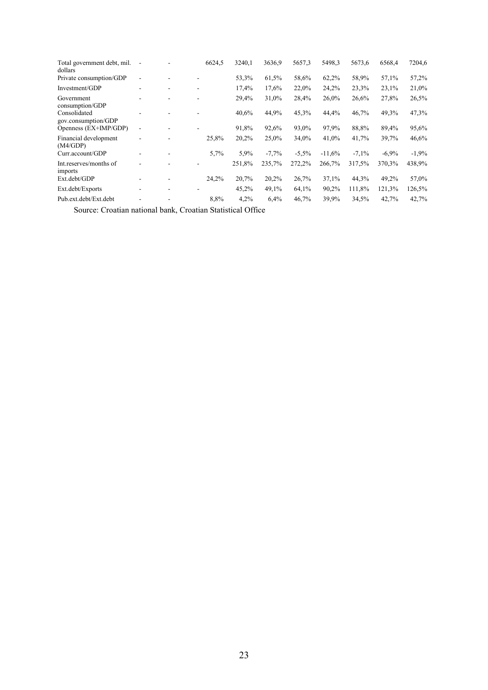| Total government debt, mil.<br>dollars |   | 6624.5 | 3240.1 | 3636,9  | 5657.3   | 5498.3   | 5673,6  | 6568.4   | 7204,6  |
|----------------------------------------|---|--------|--------|---------|----------|----------|---------|----------|---------|
| Private consumption/GDP                |   |        | 53,3%  | 61.5%   | 58,6%    | 62,2%    | 58,9%   | 57,1%    | 57,2%   |
| Investment/GDP                         |   |        | 17,4%  | 17,6%   | 22,0%    | 24,2%    | 23,3%   | 23,1%    | 21,0%   |
| Government<br>consumption/GDP          |   |        | 29,4%  | 31,0%   | 28,4%    | 26,0%    | 26,6%   | 27,8%    | 26,5%   |
| Consolidated<br>gov.consumption/GDP    |   |        | 40,6%  | 44,9%   | 45,3%    | 44,4%    | 46,7%   | 49,3%    | 47,3%   |
| Openness (EX+IMP/GDP)                  |   |        | 91,8%  | 92,6%   | 93,0%    | 97,9%    | 88,8%   | 89,4%    | 95,6%   |
| Financial development<br>(M4/GDP)      | ٠ | 25,8%  | 20,2%  | 25,0%   | 34,0%    | 41,0%    | 41,7%   | 39,7%    | 46,6%   |
| Curr.account/GDP                       |   | 5,7%   | 5.9%   | $-7,7%$ | $-5.5\%$ | $-11,6%$ | $-7.1%$ | $-6.9\%$ | $-1.9%$ |
| Int.reserves/months of<br>imports      |   |        | 251,8% | 235,7%  | 272,2%   | 266,7%   | 317.5%  | 370,3%   | 438,9%  |
| Ext.debt/GDP                           |   | 24,2%  | 20,7%  | 20,2%   | 26,7%    | 37,1%    | 44,3%   | 49,2%    | 57,0%   |
| Ext.debt/Exports                       |   |        | 45,2%  | 49,1%   | 64,1%    | 90,2%    | 111,8%  | 121,3%   | 126,5%  |
| Pub.ext.debt/Ext.debt                  |   | 8,8%   | 4.2%   | 6,4%    | 46,7%    | 39.9%    | 34,5%   | 42,7%    | 42,7%   |

Source: Croatian national bank, Croatian Statistical Office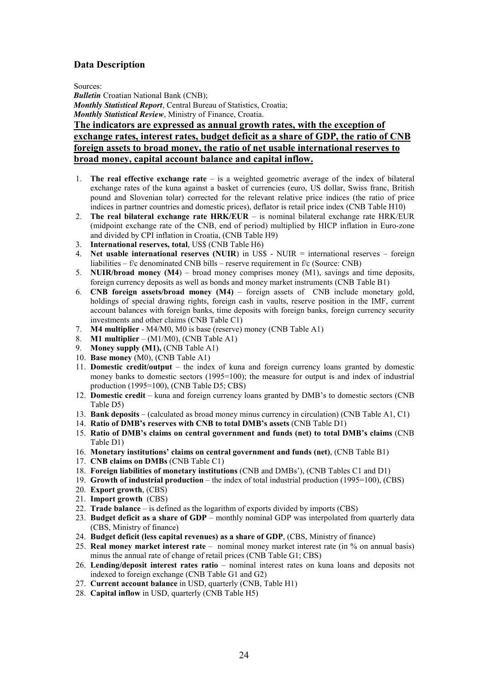### **Data Description**

Sources:

*Bulletin* Croatian National Bank (CNB); *Monthly Statistical Report*, Central Bureau of Statistics, Croatia; *Monthly Statistical Review*, Ministry of Finance, Croatia.

### **The indicators are expressed as annual growth rates, with the exception of exchange rates, interest rates, budget deficit as a share of GDP, the ratio of CNB foreign assets to broad money, the ratio of net usable international reserves to broad money, capital account balance and capital inflow.**

- 1. **The real effective exchange rate**  $-$  is a weighted geometric average of the index of bilateral exchange rates of the kuna against a basket of currencies (euro, US dollar, Swiss franc, British pound and Slovenian tolar) corrected for the relevant relative price indices (the ratio of price indices in partner countries and domestic prices), deflator is retail price index (CNB Table H10)
- 2. **The real bilateral exchange rate HRK/EUR** is nominal bilateral exchange rate HRK/EUR (midpoint exchange rate of the CNB, end of period) multiplied by HICP inflation in Euro-zone and divided by CPI inflation in Croatia, (CNB Table H9)
- 3. **International reserves, total**, US\$ (CNB Table H6)
- 4. **Net usable international reserves (NUIR)** in US\$ NUIR = international reserves foreign liabilities  $- f/c$  denominated CNB bills  $-$  reserve requirement in  $f/c$  (Source: CNB)
- 5. **NUIR/broad money (M4)** broad money comprises money (M1), savings and time deposits, foreign currency deposits as well as bonds and money market instruments (CNB Table B1)
- 6. **CNB foreign assets/broad money (M4)** foreign assets of CNB include monetary gold, holdings of special drawing rights, foreign cash in vaults, reserve position in the IMF, current account balances with foreign banks, time deposits with foreign banks, foreign currency security investments and other claims (CNB Table C1)
- 7. **M4 multiplier** M4/M0, M0 is base (reserve) money (CNB Table A1)
- 8. **M1** multiplier  $(M1/M0)$ , (CNB Table A1)
- 9. **Money supply (M1),** (CNB Table A1)
- 10. **Base money** (M0), (CNB Table A1)
- 11. **Domestic credit/output** the index of kuna and foreign currency loans granted by domestic money banks to domestic sectors (1995=100); the measure for output is and index of industrial production (1995=100), (CNB Table D5; CBS)
- 12. **Domestic credit** kuna and foreign currency loans granted by DMB's to domestic sectors (CNB Table D5)
- 13. **Bank deposits** (calculated as broad money minus currency in circulation) (CNB Table A1, C1)
- 14. **Ratio of DMBís reserves with CNB to total DMBís assets** (CNB Table D1)
- 15. **Ratio of DMBís claims on central government and funds (net) to total DMBís claims** (CNB Table D1)
- 16. **Monetary institutions' claims on central government and funds (net)**, (CNB Table B1)
- 17. **CNB claims on DMBs** (CNB Table C1)
- 18. **Foreign liabilities of monetary institutions** (CNB and DMBs'), (CNB Tables C1 and D1)
- 19. **Growth of industrial production** the index of total industrial production (1995=100), (CBS)
- 20. **Export growth**, (CBS)
- 21. **Import growth** (CBS)
- 22. **Trade balance**  $-$  is defined as the logarithm of exports divided by imports (CBS)
- 23. **Budget deficit as a share of GDP** monthly nominal GDP was interpolated from quarterly data (CBS, Ministry of finance)
- 24. **Budget deficit (less capital revenues) as a share of GDP**, (CBS, Ministry of finance)
- 25. **Real money market interest rate** nominal money market interest rate (in % on annual basis) minus the annual rate of change of retail prices (CNB Table G1; CBS)
- 26. Lending/deposit interest rates ratio nominal interest rates on kuna loans and deposits not indexed to foreign exchange (CNB Table G1 and G2)
- 27. **Current account balance** in USD, quarterly (CNB, Table H1)
- 28. **Capital inflow** in USD, quarterly (CNB Table H5)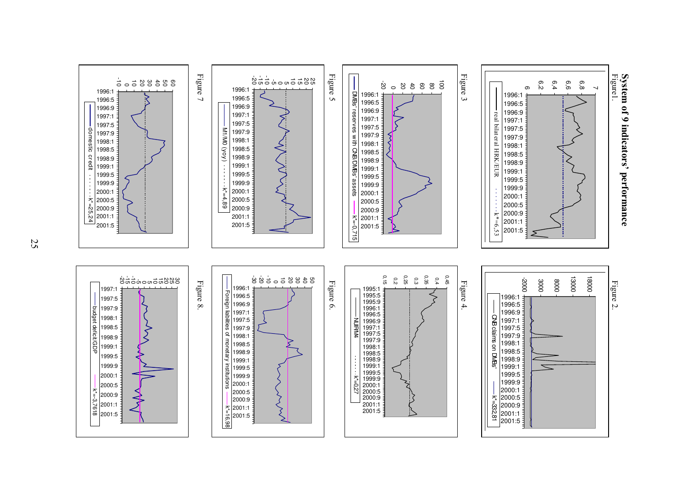